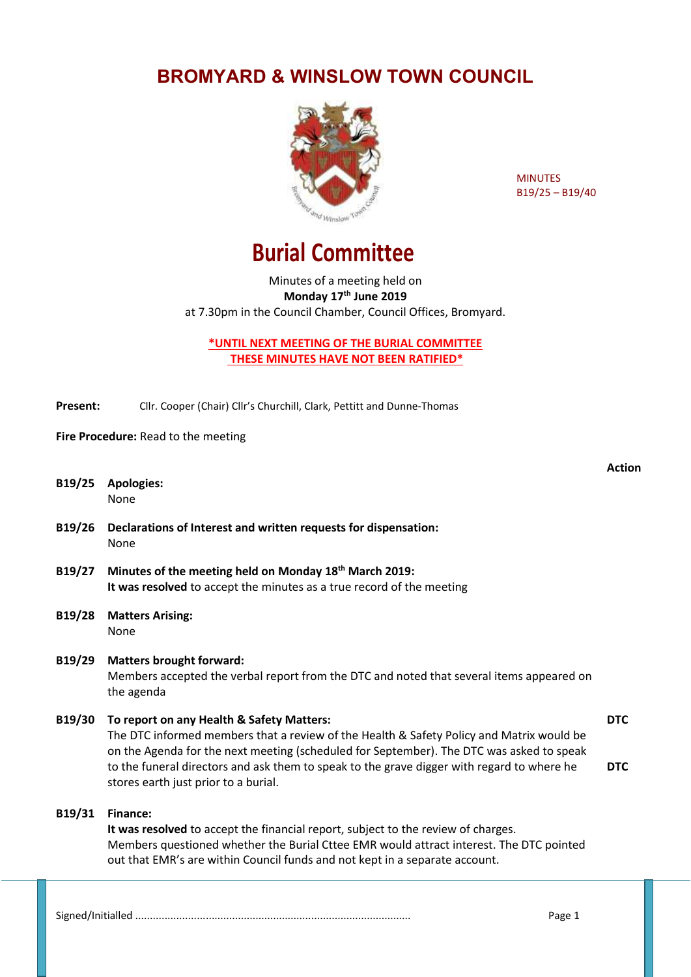## **BROMYARD & WINSLOW TOWN COUNCIL**



MINUTES B19/25 – B19/40

# **Burial Committee**

Minutes of a meeting held on **Monday 17th June 2019** at 7.30pm in the Council Chamber, Council Offices, Bromyard.

**\*UNTIL NEXT MEETING OF THE BURIAL COMMITTEE THESE MINUTES HAVE NOT BEEN RATIFIED\***

Present: Cllr. Cooper (Chair) Cllr's Churchill, Clark, Pettitt and Dunne-Thomas

**Fire Procedure:** Read to the meeting

- **B19/25 Apologies:** None
- **B19/26 Declarations of Interest and written requests for dispensation:** None
- **B19/27 Minutes of the meeting held on Monday 18th March 2019: It was resolved** to accept the minutes as a true record of the meeting
- **B19/28 Matters Arising:** None

#### **B19/29 Matters brought forward:**

Members accepted the verbal report from the DTC and noted that several items appeared on the agenda

**B19/30 To report on any Health & Safety Matters:** The DTC informed members that a review of the Health & Safety Policy and Matrix would be on the Agenda for the next meeting (scheduled for September). The DTC was asked to speak to the funeral directors and ask them to speak to the grave digger with regard to where he stores earth just prior to a burial.

**DTC**

**DTC**

**B19/31 Finance:**

**It was resolved** to accept the financial report, subject to the review of charges. Members questioned whether the Burial Cttee EMR would attract interest. The DTC pointed out that EMR's are within Council funds and not kept in a separate account.

Signed/Initialled .............................................................................................. Page 1

**Action**